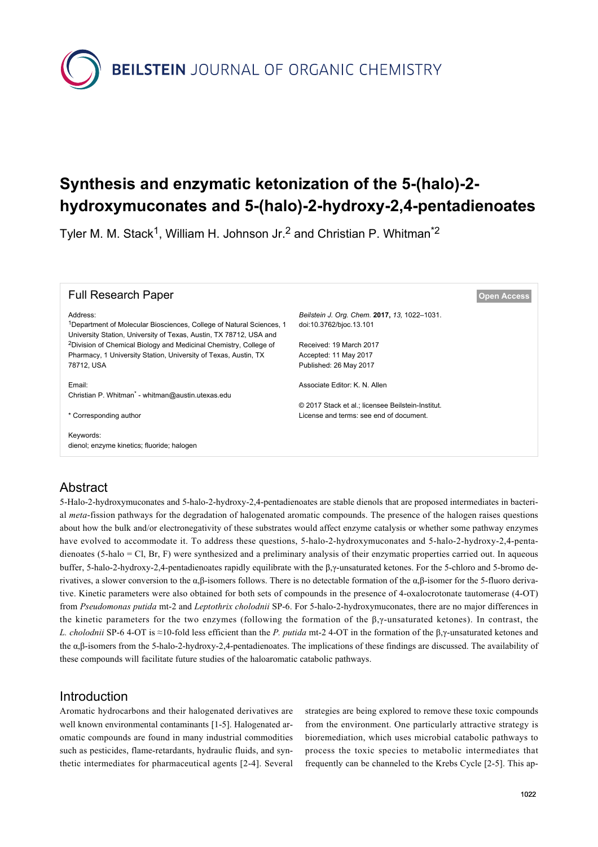

# **Synthesis and enzymatic ketonization of the 5-(halo)-2 hydroxymuconates and 5-(halo)-2-hydroxy-2,4-pentadienoates**

Tyler M. M. Stack<sup>1</sup>, William H. Johnson Jr.<sup>2</sup> and Christian P. Whitman<sup>\*2</sup>

| <b>Full Research Paper</b>                                                                                                                                         | <b>Open Access</b>                                                      |
|--------------------------------------------------------------------------------------------------------------------------------------------------------------------|-------------------------------------------------------------------------|
| Address:<br><sup>1</sup> Department of Molecular Biosciences, College of Natural Sciences, 1<br>University Station, University of Texas, Austin, TX 78712, USA and | Beilstein J. Org. Chem. 2017, 13, 1022-1031.<br>doi:10.3762/bjoc.13.101 |
| <sup>2</sup> Division of Chemical Biology and Medicinal Chemistry, College of                                                                                      | Received: 19 March 2017                                                 |
| Pharmacy, 1 University Station, University of Texas, Austin, TX<br>78712, USA                                                                                      | Accepted: 11 May 2017<br>Published: 26 May 2017                         |
|                                                                                                                                                                    |                                                                         |
| Email:                                                                                                                                                             | Associate Editor: K. N. Allen                                           |
| Christian P. Whitman <sup>*</sup> - whitman@austin.utexas.edu                                                                                                      |                                                                         |
|                                                                                                                                                                    | © 2017 Stack et al.: licensee Beilstein-Institut.                       |
| * Corresponding author                                                                                                                                             | License and terms: see end of document.                                 |
| Keywords:<br>dienol; enzyme kinetics; fluoride; halogen                                                                                                            |                                                                         |

## Abstract

5-Halo-2-hydroxymuconates and 5-halo-2-hydroxy-2,4-pentadienoates are stable dienols that are proposed intermediates in bacterial *meta*-fission pathways for the degradation of halogenated aromatic compounds. The presence of the halogen raises questions about how the bulk and/or electronegativity of these substrates would affect enzyme catalysis or whether some pathway enzymes have evolved to accommodate it. To address these questions, 5-halo-2-hydroxymuconates and 5-halo-2-hydroxy-2,4-pentadienoates (5-halo = Cl, Br, F) were synthesized and a preliminary analysis of their enzymatic properties carried out. In aqueous buffer, 5-halo-2-hydroxy-2,4-pentadienoates rapidly equilibrate with the β,γ-unsaturated ketones. For the 5-chloro and 5-bromo derivatives, a slower conversion to the α,β-isomers follows. There is no detectable formation of the α,β-isomer for the 5-fluoro derivative. Kinetic parameters were also obtained for both sets of compounds in the presence of 4-oxalocrotonate tautomerase (4-OT) from *Pseudomonas putida* mt-2 and *Leptothrix cholodnii* SP-6. For 5-halo-2-hydroxymuconates, there are no major differences in the kinetic parameters for the two enzymes (following the formation of the  $\beta$ , $\gamma$ -unsaturated ketones). In contrast, the *L. cholodnii* SP-6 4-OT is ≈10-fold less efficient than the *P. putida* mt-2 4-OT in the formation of the β,γ-unsaturated ketones and the α,β-isomers from the 5-halo-2-hydroxy-2,4-pentadienoates. The implications of these findings are discussed. The availability of these compounds will facilitate future studies of the haloaromatic catabolic pathways.

## Introduction

Aromatic hydrocarbons and their halogenated derivatives are well known environmental contaminants [\[1-5\]](#page-8-0). Halogenated aromatic compounds are found in many industrial commodities such as pesticides, flame-retardants, hydraulic fluids, and synthetic intermediates for pharmaceutical agents [\[2-4\].](#page-8-1) Several strategies are being explored to remove these toxic compounds from the environment. One particularly attractive strategy is bioremediation, which uses microbial catabolic pathways to process the toxic species to metabolic intermediates that frequently can be channeled to the Krebs Cycle [\[2-5\]](#page-8-1). This ap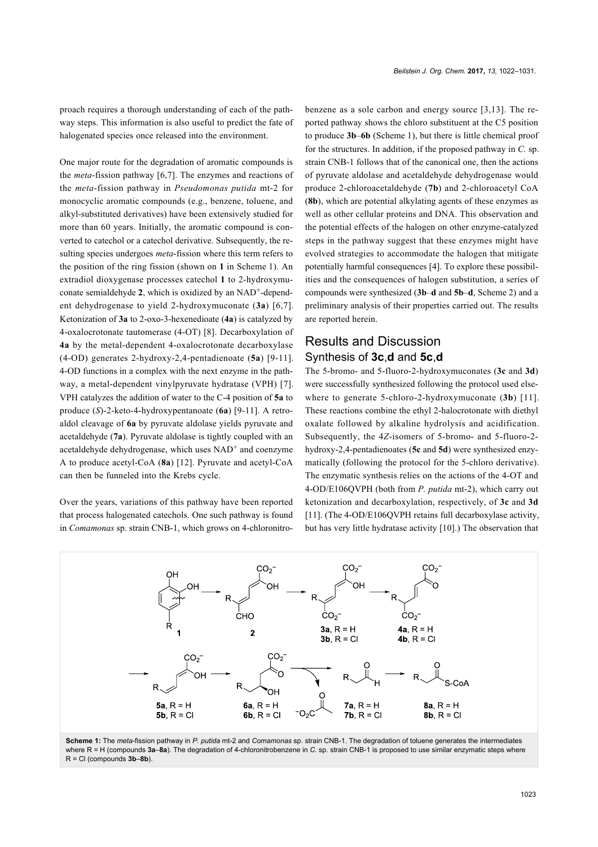proach requires a thorough understanding of each of the pathway steps. This information is also useful to predict the fate of halogenated species once released into the environment.

One major route for the degradation of aromatic compounds is the *meta*-fission pathway [\[6,7\]](#page-8-2). The enzymes and reactions of the *meta*-fission pathway in *Pseudomonas putida* mt-2 for monocyclic aromatic compounds (e.g., benzene, toluene, and alkyl-substituted derivatives) have been extensively studied for more than 60 years. Initially, the aromatic compound is converted to catechol or a catechol derivative. Subsequently, the resulting species undergoes *meta*-fission where this term refers to the position of the ring fission (shown on **1** in [Scheme 1](#page-1-0)). An extradiol dioxygenase processes catechol **1** to 2-hydroxymuconate semialdehyde 2, which is oxidized by an NAD<sup>+</sup>-dependent dehydrogenase to yield 2-hydroxymuconate (**3a**) [\[6,7\]](#page-8-2). Ketonization of **3a** to 2-oxo-3-hexenedioate (**4a**) is catalyzed by 4-oxalocrotonate tautomerase (4-OT) [\[8\]](#page-8-3). Decarboxylation of **4a** by the metal-dependent 4-oxalocrotonate decarboxylase (4-OD) generates 2-hydroxy-2,4-pentadienoate (**5a**) [\[9-11\]](#page-8-4). 4-OD functions in a complex with the next enzyme in the pathway, a metal-dependent vinylpyruvate hydratase (VPH) [\[7\]](#page-8-5). VPH catalyzes the addition of water to the C-4 position of **5a** to produce (*S*)-2-keto-4-hydroxypentanoate (**6a**) [\[9-11\]](#page-8-4). A retroaldol cleavage of **6a** by pyruvate aldolase yields pyruvate and acetaldehyde (**7a**). Pyruvate aldolase is tightly coupled with an acetaldehyde dehydrogenase, which uses NAD<sup>+</sup> and coenzyme A to produce acetyl-CoA (**8a**) [\[12\]](#page-8-6). Pyruvate and acetyl-CoA can then be funneled into the Krebs cycle.

Over the years, variations of this pathway have been reported that process halogenated catechols. One such pathway is found in *Comamonas* sp. strain CNB-1, which grows on 4-chloronitrobenzene as a sole carbon and energy source [\[3,13\]](#page-8-7). The reported pathway shows the chloro substituent at the C5 position to produce **3b**–**6b** [\(Scheme 1\)](#page-1-0), but there is little chemical proof for the structures. In addition, if the proposed pathway in *C.* sp. strain CNB-1 follows that of the canonical one, then the actions of pyruvate aldolase and acetaldehyde dehydrogenase would produce 2-chloroacetaldehyde (**7b**) and 2-chloroacetyl CoA (**8b**), which are potential alkylating agents of these enzymes as well as other cellular proteins and DNA. This observation and the potential effects of the halogen on other enzyme-catalyzed steps in the pathway suggest that these enzymes might have evolved strategies to accommodate the halogen that mitigate potentially harmful consequences [\[4\].](#page-8-8) To explore these possibilities and the consequences of halogen substitution, a series of compounds were synthesized (**3b**–**d** and **5b**–**d**, [Scheme 2\)](#page-2-0) and a preliminary analysis of their properties carried out. The results are reported herein.

## Results and Discussion Synthesis of **3c**,**d** and **5c**,**d**

The 5-bromo- and 5-fluoro-2-hydroxymuconates (**3c** and **3d**) were successfully synthesized following the protocol used elsewhere to generate 5-chloro-2-hydroxymuconate (**3b**) [\[11\]](#page-8-9). These reactions combine the ethyl 2-halocrotonate with diethyl oxalate followed by alkaline hydrolysis and acidification. Subsequently, the 4*Z*-isomers of 5-bromo- and 5-fluoro-2 hydroxy-2,4-pentadienoates (**5c** and **5d**) were synthesized enzymatically (following the protocol for the 5-chloro derivative). The enzymatic synthesis relies on the actions of the 4-OT and 4-OD/E106QVPH (both from *P. putida* mt-2), which carry out ketonization and decarboxylation, respectively, of **3c** and **3d** [\[11\].](#page-8-9) (The 4-OD/E106QVPH retains full decarboxylase activity, but has very little hydratase activity [\[10\]](#page-8-10).) The observation that

<span id="page-1-0"></span>

**Scheme 1:** The *meta*-fission pathway in *P. putida* mt-2 and *Comamonas* sp. strain CNB-1. The degradation of toluene generates the intermediates where R = H (compounds **3a**–**8a**). The degradation of 4-chloronitrobenzene in *C.* sp. strain CNB-1 is proposed to use similar enzymatic steps where R = Cl (compounds **3b**–**8b**).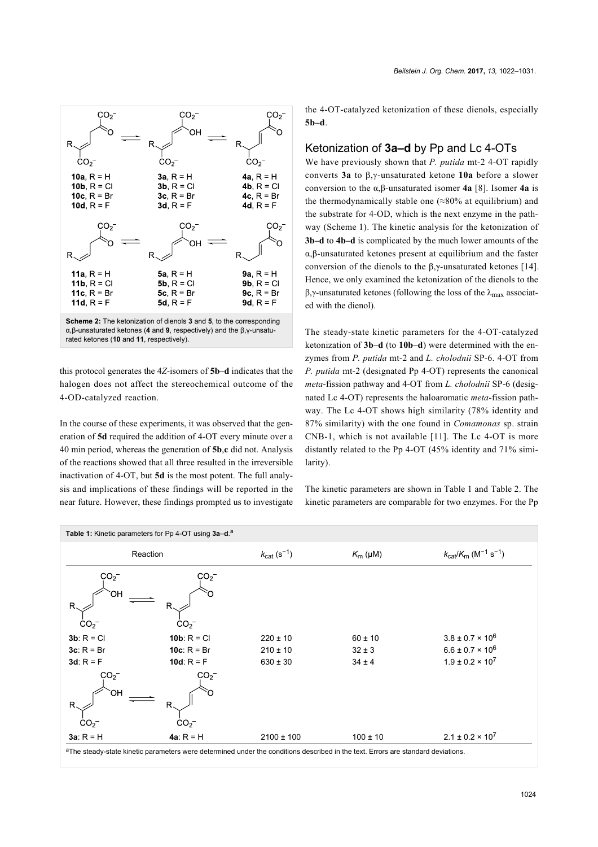<span id="page-2-0"></span>

this protocol generates the 4*Z*-isomers of **5b–d** indicates that the halogen does not affect the stereochemical outcome of the 4-OD-catalyzed reaction.

In the course of these experiments, it was observed that the generation of **5d** required the addition of 4-OT every minute over a 40 min period, whereas the generation of **5b**,**c** did not. Analysis of the reactions showed that all three resulted in the irreversible inactivation of 4-OT, but **5d** is the most potent. The full analysis and implications of these findings will be reported in the near future. However, these findings prompted us to investigate the 4-OT-catalyzed ketonization of these dienols, especially **5b–d**.

#### Ketonization of **3a–d** by Pp and Lc 4-OTs

We have previously shown that *P. putida* mt-2 4-OT rapidly converts **3a** to β,γ-unsaturated ketone **10a** before a slower conversion to the α,β-unsaturated isomer **4a** [\[8\]](#page-8-3). Isomer **4a** is the thermodynamically stable one  $(\approx 80\%$  at equilibrium) and the substrate for 4-OD, which is the next enzyme in the pathway [\(Scheme 1\)](#page-1-0). The kinetic analysis for the ketonization of **3b–d** to **4b–d** is complicated by the much lower amounts of the α,β-unsaturated ketones present at equilibrium and the faster conversion of the dienols to the β,γ-unsaturated ketones [\[14\]](#page-8-11). Hence, we only examined the ketonization of the dienols to the β,γ-unsaturated ketones (following the loss of the λmax associated with the dienol).

The steady-state kinetic parameters for the 4-OT-catalyzed ketonization of **3b–d** (to **10b–d**) were determined with the enzymes from *P. putida* mt-2 and *L. cholodnii* SP-6. 4-OT from *P. putida* mt-2 (designated Pp 4-OT) represents the canonical *meta*-fission pathway and 4-OT from *L. cholodnii* SP-6 (designated Lc 4-OT) represents the haloaromatic *meta*-fission pathway. The Lc 4-OT shows high similarity (78% identity and 87% similarity) with the one found in *Comamonas* sp. strain CNB-1, which is not available [\[11\]](#page-8-9). The Lc 4-OT is more distantly related to the Pp 4-OT (45% identity and 71% similarity).

The kinetic parameters are shown in [Table 1](#page-2-1) and [Table 2](#page-3-0). The kinetic parameters are comparable for two enzymes. For the Pp

<span id="page-2-1"></span>

|                                               | Table 1: Kinetic parameters for Pp 4-OT using 3a-d. <sup>a</sup>                                                                 |                                              |                                         |                                                                                     |
|-----------------------------------------------|----------------------------------------------------------------------------------------------------------------------------------|----------------------------------------------|-----------------------------------------|-------------------------------------------------------------------------------------|
|                                               | Reaction                                                                                                                         | $k_{\text{cat}}(s^{-1})$                     | $K_m(\mu M)$                            | $k_{\text{cat}}/K_{\text{m}}$ (M <sup>-1</sup> s <sup>-1</sup> )                    |
| CO <sub>2</sub><br>ЮH<br>R<br>CO <sub>2</sub> | $\rm{CO_2^-}$<br>R<br>CO <sub>2</sub>                                                                                            |                                              |                                         |                                                                                     |
| $3b: R = Cl$<br>$3c: R = Br$<br>$3d: R = F$   | <b>10b:</b> $R = C1$<br><b>10c:</b> $R = Br$<br>10d: $R = F$                                                                     | $220 \pm 10$<br>$210 \pm 10$<br>$630 \pm 30$ | $60 \pm 10$<br>$32 \pm 3$<br>$34 \pm 4$ | $3.8 \pm 0.7 \times 10^6$<br>$6.6 \pm 0.7 \times 10^6$<br>$1.9 \pm 0.2 \times 10^7$ |
| CO <sub>2</sub><br>ЮH<br>R<br>CO <sub>2</sub> | CO <sub>2</sub><br>R<br>CO <sub>2</sub>                                                                                          |                                              |                                         |                                                                                     |
| $3a: R = H$                                   | 4a: $R = H$                                                                                                                      | $2100 \pm 100$                               | $100 \pm 10$                            | $2.1 \pm 0.2 \times 10^7$                                                           |
|                                               | aThe steady-state kinetic parameters were determined under the conditions described in the text. Errors are standard deviations. |                                              |                                         |                                                                                     |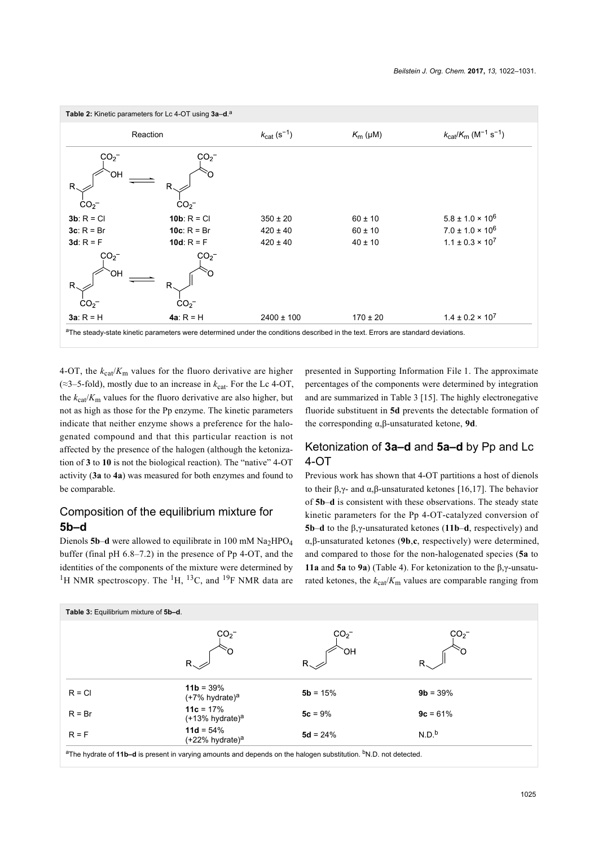<span id="page-3-0"></span>

|                                               | Table 2: Kinetic parameters for Lc 4-OT using 3a-d. <sup>a</sup>                                                                 |                          |              |                                                                  |
|-----------------------------------------------|----------------------------------------------------------------------------------------------------------------------------------|--------------------------|--------------|------------------------------------------------------------------|
|                                               | Reaction                                                                                                                         | $k_{\text{cat}}(s^{-1})$ | $K_m(\mu M)$ | $k_{\text{cat}}/K_{\text{m}}$ (M <sup>-1</sup> s <sup>-1</sup> ) |
| CO <sub>2</sub><br>ΟH<br>R<br>CO <sub>2</sub> | CO <sub>2</sub><br>$\mathsf{R}$<br>CO <sub>2</sub>                                                                               |                          |              |                                                                  |
| $3b: R = C1$                                  | <b>10b:</b> $R = C1$                                                                                                             | $350 \pm 20$             | $60 \pm 10$  | $5.8 \pm 1.0 \times 10^6$                                        |
| $3c: R = Br$                                  | <b>10c:</b> $R = Br$                                                                                                             | $420 \pm 40$             | $60 \pm 10$  | $7.0 \pm 1.0 \times 10^6$                                        |
| 3d: $R = F$                                   | 10d: $R = F$                                                                                                                     | $420 \pm 40$             | $40 \pm 10$  | $1.1 \pm 0.3 \times 10^7$                                        |
| CO <sub>2</sub><br>ЮH<br>R<br>CO <sub>2</sub> | CO <sub>2</sub><br>R<br>CO <sub>2</sub>                                                                                          |                          |              |                                                                  |
| $3a: R = H$                                   | 4a: $R = H$                                                                                                                      | $2400 \pm 100$           | $170 \pm 20$ | $1.4 \pm 0.2 \times 10^7$                                        |
|                                               | aThe steady-state kinetic parameters were determined under the conditions described in the text. Errors are standard deviations. |                          |              |                                                                  |

4-OT, the  $k_{\text{cat}}/K_{\text{m}}$  values for the fluoro derivative are higher (≈3–5-fold), mostly due to an increase in  $k_{\text{cat}}$ . For the Lc 4-OT, the  $k_{\text{cat}}/K_{\text{m}}$  values for the fluoro derivative are also higher, but not as high as those for the Pp enzyme. The kinetic parameters indicate that neither enzyme shows a preference for the halogenated compound and that this particular reaction is not affected by the presence of the halogen (although the ketonization of **3** to **10** is not the biological reaction). The "native" 4-OT activity (**3a** to **4a**) was measured for both enzymes and found to be comparable.

## Composition of the equilibrium mixture for **5b–d**

Dienols  $5b-d$  were allowed to equilibrate in 100 mM  $Na<sub>2</sub>HPO<sub>4</sub>$ buffer (final pH 6.8–7.2) in the presence of Pp 4-OT, and the identities of the components of the mixture were determined by <sup>1</sup>H NMR spectroscopy. The <sup>1</sup>H, <sup>13</sup>C, and <sup>19</sup>F NMR data are presented in [Supporting Information File 1](#page-8-12). The approximate percentages of the components were determined by integration and are summarized in [Table 3](#page-3-1) [\[15\]](#page-8-13). The highly electronegative fluoride substituent in **5d** prevents the detectable formation of the corresponding α,β-unsaturated ketone, **9d**.

## Ketonization of **3a–d** and **5a–d** by Pp and Lc 4-OT

Previous work has shown that 4-OT partitions a host of dienols to their β,γ- and α,β-unsaturated ketones [\[16,17\].](#page-8-14) The behavior of **5b**–**d** is consistent with these observations. The steady state kinetic parameters for the Pp 4-OT-catalyzed conversion of **5b**–**d** to the β,γ-unsaturated ketones (**11b**–**d**, respectively) and α,β-unsaturated ketones (**9b**,**c**, respectively) were determined, and compared to those for the non-halogenated species (**5a** to **11a** and **5a** to **9a**) ([Table 4](#page-4-0)). For ketonization to the β,γ-unsaturated ketones, the  $k_{\text{cat}}/K_{\text{m}}$  values are comparable ranging from

<span id="page-3-1"></span>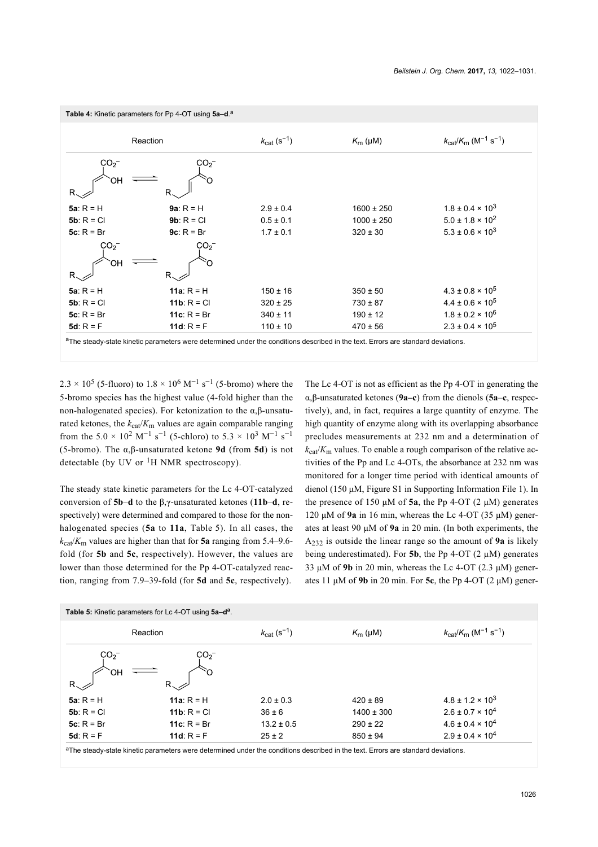<span id="page-4-0"></span>

|                                                       | Table 4: Kinetic parameters for Pp 4-OT using 5a-d. <sup>a</sup>                                                                             |                                     |                |                                                                  |
|-------------------------------------------------------|----------------------------------------------------------------------------------------------------------------------------------------------|-------------------------------------|----------------|------------------------------------------------------------------|
|                                                       | Reaction                                                                                                                                     | $k_{\text{cat}}$ (s <sup>-1</sup> ) | $K_m(\mu M)$   | $k_{\text{cat}}/K_{\text{m}}$ (M <sup>-1</sup> s <sup>-1</sup> ) |
| CO <sub>2</sub><br>ЮH<br>$R_{\scriptscriptstyle\sim}$ | CO <sub>2</sub><br>R                                                                                                                         |                                     |                |                                                                  |
| $5a: R = H$                                           | $9a: R = H$                                                                                                                                  | $2.9 \pm 0.4$                       | $1600 \pm 250$ | $1.8 \pm 0.4 \times 10^3$                                        |
| $5b: R = C1$                                          | $9b: R = C1$                                                                                                                                 | $0.5 \pm 0.1$                       | $1000 \pm 250$ | $5.0 \pm 1.8 \times 10^{2}$                                      |
| $5c: R = Br$                                          | $9c: R = Br$                                                                                                                                 | $1.7 \pm 0.1$                       | $320 \pm 30$   | $5.3 \pm 0.6 \times 10^3$                                        |
| CO <sub>2</sub><br>ЮH<br>$R_{\sim}$                   | CO <sub>2</sub><br>R.                                                                                                                        |                                     |                |                                                                  |
| $5a: R = H$                                           | 11a: $R = H$                                                                                                                                 | $150 \pm 16$                        | $350 \pm 50$   | $4.3 \pm 0.8 \times 10^5$                                        |
| $5b: R = C1$                                          | 11 $b: R = C1$                                                                                                                               | $320 \pm 25$                        | $730 \pm 87$   | $4.4 \pm 0.6 \times 10^5$                                        |
| $5c: R = Br$                                          | 11 $c: R = Br$                                                                                                                               | $340 \pm 11$                        | $190 \pm 12$   | $1.8 \pm 0.2 \times 10^6$                                        |
| 5d: $R = F$                                           | 11d: $R = F$                                                                                                                                 | $110 \pm 10$                        | $470 \pm 56$   | $2.3 \pm 0.4 \times 10^5$                                        |
|                                                       | <sup>a</sup> The steady-state kinetic parameters were determined under the conditions described in the text. Errors are standard deviations. |                                     |                |                                                                  |

 $2.3 \times 10^5$  (5-fluoro) to  $1.8 \times 10^6$  M<sup>-1</sup> s<sup>-1</sup> (5-bromo) where the 5-bromo species has the highest value (4-fold higher than the non-halogenated species). For ketonization to the α,β-unsaturated ketones, the  $k_{\text{cat}}/K_{\text{m}}$  values are again comparable ranging from the  $5.0 \times 10^2 \text{ M}^{-1} \text{ s}^{-1}$  (5-chloro) to  $5.3 \times 10^3 \text{ M}^{-1} \text{ s}^{-1}$ (5-bromo). The α,β-unsaturated ketone **9d** (from **5d**) is not detectable (by UV or  ${}^{1}H$  NMR spectroscopy).

The steady state kinetic parameters for the Lc 4-OT-catalyzed conversion of **5b**–**d** to the β,γ-unsaturated ketones (**11b**–**d**, respectively) were determined and compared to those for the nonhalogenated species (**5a** to **11a**, [Table 5\)](#page-4-1). In all cases, the  $k_{\text{cat}}/K_{\text{m}}$  values are higher than that for **5a** ranging from 5.4–9.6fold (for **5b** and **5c**, respectively). However, the values are lower than those determined for the Pp 4-OT-catalyzed reaction, ranging from 7.9–39-fold (for **5d** and **5c**, respectively).

The Lc 4-OT is not as efficient as the Pp 4-OT in generating the α,β-unsaturated ketones (**9a–c**) from the dienols (**5a**–**c**, respectively), and, in fact, requires a large quantity of enzyme. The high quantity of enzyme along with its overlapping absorbance precludes measurements at 232 nm and a determination of  $k_{\text{cat}}/K_{\text{m}}$  values. To enable a rough comparison of the relative activities of the Pp and Lc 4-OTs, the absorbance at 232 nm was monitored for a longer time period with identical amounts of dienol (150 μM, Figure S1 in [Supporting Information File 1](#page-8-12)). In the presence of 150 μM of **5a**, the Pp 4-OT  $(2 \mu M)$  generates 120 μM of **9a** in 16 min, whereas the Lc 4-OT (35 μM) generates at least 90 μM of **9a** in 20 min. (In both experiments, the A232 is outside the linear range so the amount of **9a** is likely being underestimated). For  $5b$ , the Pp 4-OT (2  $\mu$ M) generates 33 μM of 9b in 20 min, whereas the Lc 4-OT  $(2.3 \mu M)$  generates 11 μM of **9b** in 20 min. For **5c**, the Pp 4-OT (2 μM) gener-

<span id="page-4-1"></span>

|                 | Reaction               | $k_{\text{cat}}$ (s <sup>-1</sup> ) | $K_{\rm m}$ (µM) | $k_{\text{cat}}/K_{\text{m}}$ (M <sup>-1</sup> s <sup>-1</sup> ) |
|-----------------|------------------------|-------------------------------------|------------------|------------------------------------------------------------------|
| CO <sub>2</sub> | CO <sub>2</sub>        |                                     |                  |                                                                  |
|                 |                        |                                     |                  |                                                                  |
| ЮH              |                        |                                     |                  |                                                                  |
| $R_{\sim}$      | $R_{\sim}$             |                                     |                  |                                                                  |
| $5a: R = H$     | 11a: $R = H$           | $2.0 \pm 0.3$                       | $420 \pm 89$     | $4.8 \pm 1.2 \times 10^3$                                        |
|                 | 11 <b>b</b> : $R = C1$ | $36 \pm 6$                          | $1400 \pm 300$   | $2.6 \pm 0.7 \times 10^4$                                        |
| $5b: R = C1$    |                        |                                     |                  |                                                                  |
| $5c: R = Br$    | 11 $c: R = Br$         | $13.2 \pm 0.5$                      | $290 \pm 22$     | $4.6 \pm 0.4 \times 10^{4}$                                      |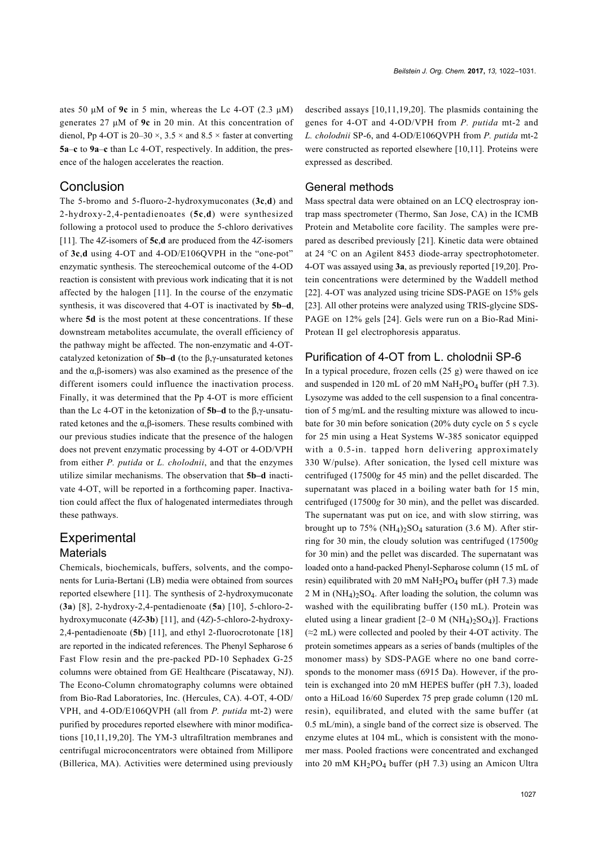ates 50 μM of **9c** in 5 min, whereas the Lc 4-OT (2.3 μM) generates 27 μM of **9c** in 20 min. At this concentration of dienol, Pp 4-OT is  $20-30 \times$ ,  $3.5 \times$  and  $8.5 \times$  faster at converting **5a**–**c** to **9a**–**c** than Lc 4-OT, respectively. In addition, the presence of the halogen accelerates the reaction.

#### Conclusion

The 5-bromo and 5-fluoro-2-hydroxymuconates (**3c**,**d**) and 2-hydroxy-2,4-pentadienoates (**5c**,**d**) were synthesized following a protocol used to produce the 5-chloro derivatives [\[11\].](#page-8-9) The 4*Z*-isomers of **5c**,**d** are produced from the 4*Z*-isomers of **3c**,**d** using 4-OT and 4-OD/E106QVPH in the "one-pot" enzymatic synthesis. The stereochemical outcome of the 4-OD reaction is consistent with previous work indicating that it is not affected by the halogen [\[11\].](#page-8-9) In the course of the enzymatic synthesis, it was discovered that 4-OT is inactivated by **5b–d**, where **5d** is the most potent at these concentrations. If these downstream metabolites accumulate, the overall efficiency of the pathway might be affected. The non-enzymatic and 4-OTcatalyzed ketonization of **5b–d** (to the β,γ-unsaturated ketones and the  $\alpha$ , $\beta$ -isomers) was also examined as the presence of the different isomers could influence the inactivation process. Finally, it was determined that the Pp 4-OT is more efficient than the Lc 4-OT in the ketonization of **5b–d** to the β,γ-unsaturated ketones and the α,β-isomers. These results combined with our previous studies indicate that the presence of the halogen does not prevent enzymatic processing by 4-OT or 4-OD/VPH from either *P. putida* or *L. cholodnii*, and that the enzymes utilize similar mechanisms. The observation that **5b–d** inactivate 4-OT, will be reported in a forthcoming paper. Inactivation could affect the flux of halogenated intermediates through these pathways.

#### **Experimental Materials**

Chemicals, biochemicals, buffers, solvents, and the components for Luria-Bertani (LB) media were obtained from sources reported elsewhere [\[11\]](#page-8-9). The synthesis of 2-hydroxymuconate (**3a**) [\[8\]](#page-8-3), 2-hydroxy-2,4-pentadienoate (**5a**) [\[10\],](#page-8-10) 5-chloro-2 hydroxymuconate (4*Z***-3b**) [\[11\]](#page-8-9), and (4*Z*)-5-chloro-2-hydroxy-2,4-pentadienoate (**5b**) [\[11\]](#page-8-9), and ethyl 2-fluorocrotonate [\[18\]](#page-8-15) are reported in the indicated references. The Phenyl Sepharose 6 Fast Flow resin and the pre-packed PD-10 Sephadex G-25 columns were obtained from GE Healthcare (Piscataway, NJ). The Econo-Column chromatography columns were obtained from Bio-Rad Laboratories, Inc. (Hercules, CA). 4-OT, 4-OD/ VPH, and 4-OD/E106QVPH (all from *P. putida* mt-2) were purified by procedures reported elsewhere with minor modifications [\[10,11,19,20\]](#page-8-10). The YM-3 ultrafiltration membranes and centrifugal microconcentrators were obtained from Millipore (Billerica, MA). Activities were determined using previously

described assays [\[10,11,19,20\]](#page-8-10). The plasmids containing the genes for 4-OT and 4-OD/VPH from *P. putida* mt-2 and *L. cholodnii* SP-6, and 4-OD/E106QVPH from *P. putida* mt-2 were constructed as reported elsewhere [\[10,11\].](#page-8-10) Proteins were expressed as described.

#### General methods

Mass spectral data were obtained on an LCQ electrospray iontrap mass spectrometer (Thermo, San Jose, CA) in the ICMB Protein and Metabolite core facility. The samples were prepared as described previously [\[21\]](#page-8-16). Kinetic data were obtained at 24 °C on an Agilent 8453 diode-array spectrophotometer. 4-OT was assayed using **3a**, as previously reported [\[19,20\].](#page-8-17) Protein concentrations were determined by the Waddell method [\[22\].](#page-8-18) 4-OT was analyzed using tricine SDS-PAGE on 15% gels [\[23\].](#page-8-19) All other proteins were analyzed using TRIS-glycine SDS-PAGE on 12% gels [\[24\]](#page-8-20). Gels were run on a Bio-Rad Mini-Protean II gel electrophoresis apparatus.

#### Purification of 4-OT from L. cholodnii SP-6

In a typical procedure, frozen cells (25 g) were thawed on ice and suspended in 120 mL of 20 mM  $NaH<sub>2</sub>PO<sub>4</sub> buffer (pH 7.3)$ . Lysozyme was added to the cell suspension to a final concentration of 5 mg/mL and the resulting mixture was allowed to incubate for 30 min before sonication (20% duty cycle on 5 s cycle for 25 min using a Heat Systems W-385 sonicator equipped with a 0.5-in. tapped horn delivering approximately 330 W/pulse). After sonication, the lysed cell mixture was centrifuged (17500*g* for 45 min) and the pellet discarded. The supernatant was placed in a boiling water bath for 15 min, centrifuged (17500*g* for 30 min), and the pellet was discarded. The supernatant was put on ice, and with slow stirring, was brought up to  $75\%$  (NH<sub>4</sub>)<sub>2</sub>SO<sub>4</sub> saturation (3.6 M). After stirring for 30 min, the cloudy solution was centrifuged (17500*g* for 30 min) and the pellet was discarded. The supernatant was loaded onto a hand-packed Phenyl-Sepharose column (15 mL of resin) equilibrated with 20 mM  $NaH<sub>2</sub>PO<sub>4</sub>$  buffer (pH 7.3) made  $2 M$  in  $(NH_4)_2SO_4$ . After loading the solution, the column was washed with the equilibrating buffer (150 mL). Protein was eluted using a linear gradient [2–0 M (NH<sub>4</sub>)<sub>2</sub>SO<sub>4</sub>)]. Fractions  $(\approx 2 \text{ mL})$  were collected and pooled by their 4-OT activity. The protein sometimes appears as a series of bands (multiples of the monomer mass) by SDS-PAGE where no one band corresponds to the monomer mass (6915 Da). However, if the protein is exchanged into 20 mM HEPES buffer (pH 7.3), loaded onto a HiLoad 16/60 Superdex 75 prep grade column (120 mL resin), equilibrated, and eluted with the same buffer (at 0.5 mL/min), a single band of the correct size is observed. The enzyme elutes at 104 mL, which is consistent with the monomer mass. Pooled fractions were concentrated and exchanged into 20 mM KH2PO<sup>4</sup> buffer (pH 7.3) using an Amicon Ultra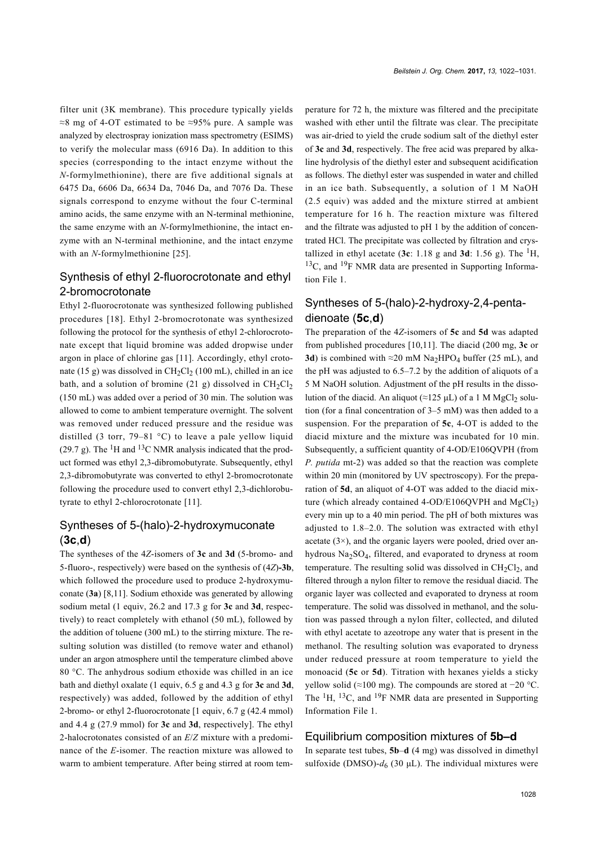filter unit (3K membrane). This procedure typically yields ≈8 mg of 4-OT estimated to be ≈95% pure. A sample was analyzed by electrospray ionization mass spectrometry (ESIMS) to verify the molecular mass (6916 Da). In addition to this species (corresponding to the intact enzyme without the *N*-formylmethionine), there are five additional signals at 6475 Da, 6606 Da, 6634 Da, 7046 Da, and 7076 Da. These signals correspond to enzyme without the four C-terminal amino acids, the same enzyme with an N-terminal methionine, the same enzyme with an *N*-formylmethionine, the intact enzyme with an N-terminal methionine, and the intact enzyme with an *N*-formylmethionine [\[25\].](#page-8-21)

## Synthesis of ethyl 2-fluorocrotonate and ethyl 2-bromocrotonate

Ethyl 2-fluorocrotonate was synthesized following published procedures [\[18\]](#page-8-15). Ethyl 2-bromocrotonate was synthesized following the protocol for the synthesis of ethyl 2-chlorocrotonate except that liquid bromine was added dropwise under argon in place of chlorine gas [\[11\].](#page-8-9) Accordingly, ethyl crotonate (15 g) was dissolved in  $CH_2Cl_2$  (100 mL), chilled in an ice bath, and a solution of bromine (21 g) dissolved in  $CH<sub>2</sub>Cl<sub>2</sub>$ (150 mL) was added over a period of 30 min. The solution was allowed to come to ambient temperature overnight. The solvent was removed under reduced pressure and the residue was distilled (3 torr, 79–81  $^{\circ}$ C) to leave a pale yellow liquid (29.7 g). The  ${}^{1}$ H and  ${}^{13}$ C NMR analysis indicated that the product formed was ethyl 2,3-dibromobutyrate. Subsequently, ethyl 2,3-dibromobutyrate was converted to ethyl 2-bromocrotonate following the procedure used to convert ethyl 2,3-dichlorobutyrate to ethyl 2-chlorocrotonate [\[11\].](#page-8-9)

## Syntheses of 5-(halo)-2-hydroxymuconate (**3c**,**d**)

The syntheses of the 4*Z*-isomers of **3c** and **3d** (5-bromo- and 5-fluoro-, respectively) were based on the synthesis of (4*Z*)**-3b**, which followed the procedure used to produce 2-hydroxymuconate (**3a**) [\[8,11\]](#page-8-3). Sodium ethoxide was generated by allowing sodium metal (1 equiv, 26.2 and 17.3 g for **3c** and **3d**, respectively) to react completely with ethanol (50 mL), followed by the addition of toluene (300 mL) to the stirring mixture. The resulting solution was distilled (to remove water and ethanol) under an argon atmosphere until the temperature climbed above 80 °C. The anhydrous sodium ethoxide was chilled in an ice bath and diethyl oxalate (1 equiv, 6.5 g and 4.3 g for **3c** and **3d**, respectively) was added, followed by the addition of ethyl 2-bromo- or ethyl 2-fluorocrotonate [1 equiv, 6.7 g (42.4 mmol) and 4.4 g (27.9 mmol) for **3c** and **3d**, respectively]. The ethyl 2-halocrotonates consisted of an *E*/*Z* mixture with a predominance of the *E*-isomer. The reaction mixture was allowed to warm to ambient temperature. After being stirred at room tem-

perature for 72 h, the mixture was filtered and the precipitate washed with ether until the filtrate was clear. The precipitate was air-dried to yield the crude sodium salt of the diethyl ester of **3c** and **3d**, respectively. The free acid was prepared by alkaline hydrolysis of the diethyl ester and subsequent acidification as follows. The diethyl ester was suspended in water and chilled in an ice bath. Subsequently, a solution of 1 M NaOH (2.5 equiv) was added and the mixture stirred at ambient temperature for 16 h. The reaction mixture was filtered and the filtrate was adjusted to pH 1 by the addition of concentrated HCl. The precipitate was collected by filtration and crystallized in ethyl acetate (3c:  $1.18$  g and 3d:  $1.56$  g). The <sup>1</sup>H,  $13^{\circ}$ C, and  $19^{\circ}$ F NMR data are presented in [Supporting Informa](#page-8-12)[tion File 1](#page-8-12).

## Syntheses of 5-(halo)-2-hydroxy-2,4-pentadienoate (**5c**,**d**)

The preparation of the 4*Z*-isomers of **5c** and **5d** was adapted from published procedures [\[10,11\]](#page-8-10). The diacid (200 mg, **3c** or **3d**) is combined with  $\approx$ 20 mM Na<sub>2</sub>HPO<sub>4</sub> buffer (25 mL), and the pH was adjusted to 6.5–7.2 by the addition of aliquots of a 5 M NaOH solution. Adjustment of the pH results in the dissolution of the diacid. An aliquot ( $\approx$ 125 μL) of a 1 M MgCl<sub>2</sub> solution (for a final concentration of 3–5 mM) was then added to a suspension. For the preparation of **5c**, 4-OT is added to the diacid mixture and the mixture was incubated for 10 min. Subsequently, a sufficient quantity of 4-OD/E106QVPH (from *P. putida* mt-2) was added so that the reaction was complete within 20 min (monitored by UV spectroscopy). For the preparation of **5d**, an aliquot of 4-OT was added to the diacid mixture (which already contained 4-OD/E106QVPH and  $MgCl<sub>2</sub>$ ) every min up to a 40 min period. The pH of both mixtures was adjusted to 1.8–2.0. The solution was extracted with ethyl acetate  $(3\times)$ , and the organic layers were pooled, dried over anhydrous Na2SO4, filtered, and evaporated to dryness at room temperature. The resulting solid was dissolved in  $CH<sub>2</sub>Cl<sub>2</sub>$ , and filtered through a nylon filter to remove the residual diacid. The organic layer was collected and evaporated to dryness at room temperature. The solid was dissolved in methanol, and the solution was passed through a nylon filter, collected, and diluted with ethyl acetate to azeotrope any water that is present in the methanol. The resulting solution was evaporated to dryness under reduced pressure at room temperature to yield the monoacid (**5c** or **5d**). Titration with hexanes yields a sticky yellow solid (≈100 mg). The compounds are stored at −20 °C. The  ${}^{1}H$ ,  ${}^{13}C$ , and  ${}^{19}F$  NMR data are presented in [Supporting](#page-8-12) [Information File 1](#page-8-12).

#### Equilibrium composition mixtures of **5b–d**

In separate test tubes, **5b**–**d** (4 mg) was dissolved in dimethyl sulfoxide (DMSO)- $d_6$  (30  $\mu$ L). The individual mixtures were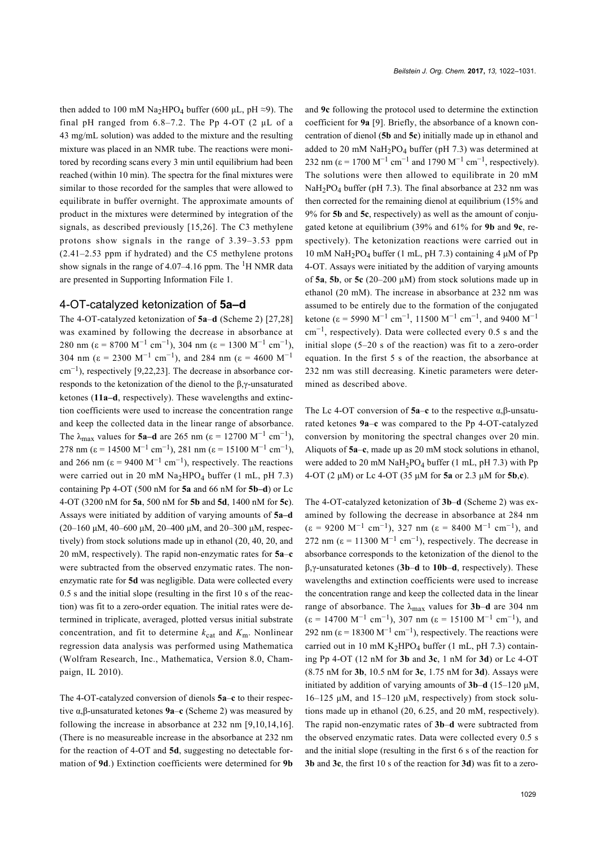then added to 100 mM Na<sub>2</sub>HPO<sub>4</sub> buffer (600  $\mu$ L, pH  $\approx$ 9). The final pH ranged from 6.8–7.2. The Pp 4-OT (2 μL of a 43 mg/mL solution) was added to the mixture and the resulting mixture was placed in an NMR tube. The reactions were monitored by recording scans every 3 min until equilibrium had been reached (within 10 min). The spectra for the final mixtures were similar to those recorded for the samples that were allowed to equilibrate in buffer overnight. The approximate amounts of product in the mixtures were determined by integration of the signals, as described previously [\[15,26\]](#page-8-13). The C3 methylene protons show signals in the range of 3.39–3.53 ppm (2.41–2.53 ppm if hydrated) and the C5 methylene protons show signals in the range of  $4.07-4.16$  ppm. The <sup>1</sup>H NMR data are presented in [Supporting Information File 1.](#page-8-12)

#### 4-OT-catalyzed ketonization of **5a–d**

The 4-OT-catalyzed ketonization of **5a**–**d** ([Scheme 2](#page-2-0)) [\[27,28\]](#page-8-22) was examined by following the decrease in absorbance at 280 nm ( $\varepsilon = 8700 \text{ M}^{-1} \text{ cm}^{-1}$ ), 304 nm ( $\varepsilon = 1300 \text{ M}^{-1} \text{ cm}^{-1}$ ), 304 nm ( $\varepsilon = 2300 \text{ M}^{-1} \text{ cm}^{-1}$ ), and 284 nm ( $\varepsilon = 4600 \text{ M}^{-1}$ cm−<sup>1</sup> ), respectively [\[9,22,23\]](#page-8-4). The decrease in absorbance corresponds to the ketonization of the dienol to the β,γ-unsaturated ketones (**11a–d**, respectively). These wavelengths and extinction coefficients were used to increase the concentration range and keep the collected data in the linear range of absorbance. The  $\lambda_{\text{max}}$  values for **5a–d** are 265 nm ( $\epsilon$  = 12700 M<sup>-1</sup> cm<sup>-1</sup>), 278 nm ( $\varepsilon$  = 14500 M<sup>-1</sup> cm<sup>-1</sup>), 281 nm ( $\varepsilon$  = 15100 M<sup>-1</sup> cm<sup>-1</sup>), and 266 nm ( $\varepsilon$  = 9400 M<sup>-1</sup> cm<sup>-1</sup>), respectively. The reactions were carried out in 20 mM  $\text{Na}_2\text{HPO}_4$  buffer (1 mL, pH 7.3) containing Pp 4-OT (500 nM for **5a** and 66 nM for **5b–d**) or Lc 4-OT (3200 nM for **5a**, 500 nM for **5b** and **5d**, 1400 nM for **5c**). Assays were initiated by addition of varying amounts of **5a–d** (20–160 μM, 40–600 μM, 20–400 μM, and 20–300 μM, respectively) from stock solutions made up in ethanol (20, 40, 20, and 20 mM, respectively). The rapid non-enzymatic rates for **5a**–**c** were subtracted from the observed enzymatic rates. The nonenzymatic rate for **5d** was negligible. Data were collected every 0.5 s and the initial slope (resulting in the first 10 s of the reaction) was fit to a zero-order equation. The initial rates were determined in triplicate, averaged, plotted versus initial substrate concentration, and fit to determine  $k_{cat}$  and  $K_m$ . Nonlinear regression data analysis was performed using Mathematica (Wolfram Research, Inc., Mathematica, Version 8.0, Champaign, IL 2010).

The 4-OT-catalyzed conversion of dienols **5a**–**c** to their respective α,β-unsaturated ketones **9a**–**c** ([Scheme 2](#page-2-0)) was measured by following the increase in absorbance at 232 nm [\[9,10,14,16\]](#page-8-4). (There is no measureable increase in the absorbance at 232 nm for the reaction of 4-OT and **5d**, suggesting no detectable formation of **9d**.) Extinction coefficients were determined for **9b**

and **9c** following the protocol used to determine the extinction coefficient for **9a** [\[9\]](#page-8-4). Briefly, the absorbance of a known concentration of dienol (**5b** and **5c**) initially made up in ethanol and added to 20 mM  $\text{NaH}_2\text{PO}_4$  buffer (pH 7.3) was determined at 232 nm ( $\varepsilon$  = 1700 M<sup>-1</sup> cm<sup>-1</sup> and 1790 M<sup>-1</sup> cm<sup>-1</sup>, respectively). The solutions were then allowed to equilibrate in 20 mM  $NaH<sub>2</sub>PO<sub>4</sub> buffer (pH 7.3)$ . The final absorbance at 232 nm was then corrected for the remaining dienol at equilibrium (15% and 9% for **5b** and **5c**, respectively) as well as the amount of conjugated ketone at equilibrium (39% and 61% for **9b** and **9c**, respectively). The ketonization reactions were carried out in 10 mM NaH2PO4 buffer (1 mL, pH 7.3) containing 4 μM of Pp 4-OT. Assays were initiated by the addition of varying amounts of **5a**, **5b**, or **5c** (20–200 μΜ) from stock solutions made up in ethanol (20 mM). The increase in absorbance at 232 nm was assumed to be entirely due to the formation of the conjugated ketone ( $\varepsilon$  = 5990 M<sup>-1</sup> cm<sup>-1</sup>, 11500 M<sup>-1</sup> cm<sup>-1</sup>, and 9400 M<sup>-1</sup> cm−<sup>1</sup> , respectively). Data were collected every 0.5 s and the initial slope (5–20 s of the reaction) was fit to a zero-order equation. In the first 5 s of the reaction, the absorbance at 232 nm was still decreasing. Kinetic parameters were determined as described above.

The Lc 4-OT conversion of **5a**–**c** to the respective α,β-unsaturated ketones **9a**–**c** was compared to the Pp 4-OT-catalyzed conversion by monitoring the spectral changes over 20 min. Aliquots of **5a**–**c**, made up as 20 mM stock solutions in ethanol, were added to 20 mM  $\text{NaH}_2\text{PO}_4$  buffer (1 mL, pH 7.3) with Pp 4-OT (2 μM) or Lc 4-OT (35 μM for **5a** or 2.3 μM for **5b**,**c**).

The 4-OT-catalyzed ketonization of **3b**–**d** ([Scheme 2](#page-2-0)) was examined by following the decrease in absorbance at 284 nm  $(\epsilon = 9200 \text{ M}^{-1} \text{ cm}^{-1})$ , 327 nm  $(\epsilon = 8400 \text{ M}^{-1} \text{ cm}^{-1})$ , and 272 nm ( $\varepsilon$  = 11300 M<sup>-1</sup> cm<sup>-1</sup>), respectively. The decrease in absorbance corresponds to the ketonization of the dienol to the β,γ-unsaturated ketones (**3b**–**d** to **10b**–**d**, respectively). These wavelengths and extinction coefficients were used to increase the concentration range and keep the collected data in the linear range of absorbance. The  $\lambda_{\text{max}}$  values for **3b–d** are 304 nm  $(\epsilon = 14700 \text{ M}^{-1} \text{ cm}^{-1})$ , 307 nm  $(\epsilon = 15100 \text{ M}^{-1} \text{ cm}^{-1})$ , and 292 nm ( $\varepsilon$  = 18300 M<sup>-1</sup> cm<sup>-1</sup>), respectively. The reactions were carried out in 10 mM K<sub>2</sub>HPO<sub>4</sub> buffer (1 mL, pH 7.3) containing Pp 4-OT (12 nM for **3b** and **3c**, 1 nM for **3d**) or Lc 4-OT (8.75 nM for **3b**, 10.5 nM for **3c**, 1.75 nM for **3d**). Assays were initiated by addition of varying amounts of **3b**–**d** (15–120 μM, 16–125 μM, and 15–120 μM, respectively) from stock solutions made up in ethanol (20, 6.25, and 20 mM, respectively). The rapid non-enzymatic rates of **3b**–**d** were subtracted from the observed enzymatic rates. Data were collected every 0.5 s and the initial slope (resulting in the first 6 s of the reaction for **3b** and **3c**, the first 10 s of the reaction for **3d**) was fit to a zero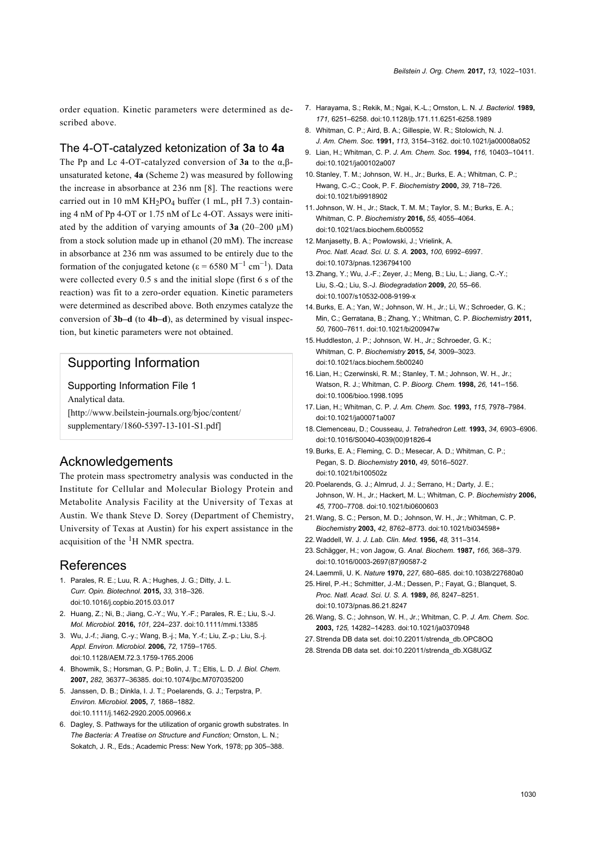order equation. Kinetic parameters were determined as described above.

#### The 4-OT-catalyzed ketonization of **3a** to **4a**

The Pp and Lc 4-OT-catalyzed conversion of **3a** to the α,βunsaturated ketone, **4a** [\(Scheme 2](#page-2-0)) was measured by following the increase in absorbance at 236 nm [\[8\]](#page-8-3). The reactions were carried out in 10 mM  $KH_2PO_4$  buffer (1 mL, pH 7.3) containing 4 nM of Pp 4-OT or 1.75 nM of Lc 4-OT. Assays were initiated by the addition of varying amounts of **3a** (20–200 μΜ) from a stock solution made up in ethanol (20 mM). The increase in absorbance at 236 nm was assumed to be entirely due to the formation of the conjugated ketone ( $\varepsilon = 6580$  M<sup>-1</sup> cm<sup>-1</sup>). Data were collected every 0.5 s and the initial slope (first 6 s of the reaction) was fit to a zero-order equation. Kinetic parameters were determined as described above. Both enzymes catalyze the conversion of **3b–d** (to **4b–d**), as determined by visual inspection, but kinetic parameters were not obtained.

#### Supporting Information

<span id="page-8-12"></span>Supporting Information File 1 Analytical data. [\[http://www.beilstein-journals.org/bjoc/content/](http://www.beilstein-journals.org/bjoc/content/supplementary/1860-5397-13-101-S1.pdf) [supplementary/1860-5397-13-101-S1.pdf\]](http://www.beilstein-journals.org/bjoc/content/supplementary/1860-5397-13-101-S1.pdf)

#### Acknowledgements

The protein mass spectrometry analysis was conducted in the Institute for Cellular and Molecular Biology Protein and Metabolite Analysis Facility at the University of Texas at Austin. We thank Steve D. Sorey (Department of Chemistry, University of Texas at Austin) for his expert assistance in the acquisition of the  ${}^{1}$ H NMR spectra.

#### References

- <span id="page-8-0"></span>1. Parales, R. E.; Luu, R. A.; Hughes, J. G.; Ditty, J. L. *Curr. Opin. Biotechnol.* **2015,** *33,* 318–326. [doi:10.1016/j.copbio.2015.03.017](https://doi.org/10.1016%2Fj.copbio.2015.03.017)
- <span id="page-8-1"></span>2. Huang, Z.; Ni, B.; Jiang, C.-Y.; Wu, Y.-F.; Parales, R. E.; Liu, S.-J. *Mol. Microbiol.* **2016,** *101,* 224–237. [doi:10.1111/mmi.13385](https://doi.org/10.1111%2Fmmi.13385)
- <span id="page-8-7"></span>3. Wu, J.-f.; Jiang, C.-y.; Wang, B.-j.; Ma, Y.-f.; Liu, Z.-p.; Liu, S.-j. *Appl. Environ. Microbiol.* **2006,** *72,* 1759–1765. [doi:10.1128/AEM.72.3.1759-1765.2006](https://doi.org/10.1128%2FAEM.72.3.1759-1765.2006)
- <span id="page-8-8"></span>4. Bhowmik, S.; Horsman, G. P.; Bolin, J. T.; Eltis, L. D. *J. Biol. Chem.* **2007,** *282,* 36377–36385. [doi:10.1074/jbc.M707035200](https://doi.org/10.1074%2Fjbc.M707035200)
- 5. Janssen, D. B.; Dinkla, I. J. T.; Poelarends, G. J.; Terpstra, P. *Environ. Microbiol.* **2005,** *7,* 1868–1882. [doi:10.1111/j.1462-2920.2005.00966.x](https://doi.org/10.1111%2Fj.1462-2920.2005.00966.x)
- <span id="page-8-2"></span>6. Dagley, S. Pathways for the utilization of organic growth substrates. In *The Bacteria: A Treatise on Structure and Function;* Ornston, L. N.; Sokatch, J. R., Eds.; Academic Press: New York, 1978; pp 305–388.
- <span id="page-8-5"></span>7. Harayama, S.; Rekik, M.; Ngai, K.-L.; Ornston, L. N. *J. Bacteriol.* **1989,** *171,* 6251–6258. [doi:10.1128/jb.171.11.6251-6258.1989](https://doi.org/10.1128%2Fjb.171.11.6251-6258.1989)
- <span id="page-8-3"></span>8. Whitman, C. P.; Aird, B. A.; Gillespie, W. R.; Stolowich, N. J. *J. Am. Chem. Soc.* **1991,** *113,* 3154–3162. [doi:10.1021/ja00008a052](https://doi.org/10.1021%2Fja00008a052)
- <span id="page-8-4"></span>9. Lian, H.; Whitman, C. P. *J. Am. Chem. Soc.* **1994,** *116,* 10403–10411. [doi:10.1021/ja00102a007](https://doi.org/10.1021%2Fja00102a007)
- <span id="page-8-10"></span>10.Stanley, T. M.; Johnson, W. H., Jr.; Burks, E. A.; Whitman, C. P.; Hwang, C.-C.; Cook, P. F. *Biochemistry* **2000,** *39,* 718–726. [doi:10.1021/bi9918902](https://doi.org/10.1021%2Fbi9918902)
- <span id="page-8-9"></span>11. Johnson, W. H., Jr.; Stack, T. M. M.; Taylor, S. M.; Burks, E. A.; Whitman, C. P. *Biochemistry* **2016,** *55,* 4055–4064. [doi:10.1021/acs.biochem.6b00552](https://doi.org/10.1021%2Facs.biochem.6b00552)
- <span id="page-8-6"></span>12. Manjasetty, B. A.; Powlowski, J.; Vrielink, A. *Proc. Natl. Acad. Sci. U. S. A.* **2003,** *100,* 6992–6997. [doi:10.1073/pnas.1236794100](https://doi.org/10.1073%2Fpnas.1236794100)
- 13.Zhang, Y.; Wu, J.-F.; Zeyer, J.; Meng, B.; Liu, L.; Jiang, C.-Y.; Liu, S.-Q.; Liu, S.-J. *Biodegradation* **2009,** *20,* 55–66. [doi:10.1007/s10532-008-9199-x](https://doi.org/10.1007%2Fs10532-008-9199-x)
- <span id="page-8-11"></span>14.Burks, E. A.; Yan, W.; Johnson, W. H., Jr.; Li, W.; Schroeder, G. K.; Min, C.; Gerratana, B.; Zhang, Y.; Whitman, C. P. *Biochemistry* **2011,** *50,* 7600–7611. [doi:10.1021/bi200947w](https://doi.org/10.1021%2Fbi200947w)
- <span id="page-8-13"></span>15. Huddleston, J. P.; Johnson, W. H., Jr.; Schroeder, G. K.; Whitman, C. P. *Biochemistry* **2015,** *54,* 3009–3023. [doi:10.1021/acs.biochem.5b00240](https://doi.org/10.1021%2Facs.biochem.5b00240)
- <span id="page-8-14"></span>16. Lian, H.; Czerwinski, R. M.; Stanley, T. M.; Johnson, W. H., Jr.; Watson, R. J.; Whitman, C. P. *Bioorg. Chem.* **1998,** *26,* 141–156. [doi:10.1006/bioo.1998.1095](https://doi.org/10.1006%2Fbioo.1998.1095)
- 17. Lian, H.; Whitman, C. P. *J. Am. Chem. Soc.* **1993,** *115,* 7978–7984. [doi:10.1021/ja00071a007](https://doi.org/10.1021%2Fja00071a007)
- <span id="page-8-15"></span>18. Clemenceau, D.; Cousseau, J. *Tetrahedron Lett.* **1993,** *34,* 6903–6906. [doi:10.1016/S0040-4039\(00\)91826-4](https://doi.org/10.1016%2FS0040-4039%2800%2991826-4)
- <span id="page-8-17"></span>19.Burks, E. A.; Fleming, C. D.; Mesecar, A. D.; Whitman, C. P.; Pegan, S. D. *Biochemistry* **2010,** *49,* 5016–5027. [doi:10.1021/bi100502z](https://doi.org/10.1021%2Fbi100502z)
- 20.Poelarends, G. J.; Almrud, J. J.; Serrano, H.; Darty, J. E.; Johnson, W. H., Jr.; Hackert, M. L.; Whitman, C. P. *Biochemistry* **2006,** *45,* 7700–7708. [doi:10.1021/bi0600603](https://doi.org/10.1021%2Fbi0600603)
- <span id="page-8-16"></span>21.Wang, S. C.; Person, M. D.; Johnson, W. H., Jr.; Whitman, C. P. *Biochemistry* **2003,** *42,* 8762–8773. [doi:10.1021/bi034598+](https://doi.org/10.1021%2Fbi034598%2B)
- <span id="page-8-18"></span>22.Waddell, W. J. *J. Lab. Clin. Med.* **1956,** *48,* 311–314.
- <span id="page-8-19"></span>23.Schägger, H.; von Jagow, G. *Anal. Biochem.* **1987,** *166,* 368–379. [doi:10.1016/0003-2697\(87\)90587-2](https://doi.org/10.1016%2F0003-2697%2887%2990587-2)
- <span id="page-8-20"></span>24. Laemmli, U. K. *Nature* **1970,** *227,* 680–685. [doi:10.1038/227680a0](https://doi.org/10.1038%2F227680a0)
- <span id="page-8-21"></span>25. Hirel, P.-H.; Schmitter, J.-M.; Dessen, P.; Fayat, G.; Blanquet, S. *Proc. Natl. Acad. Sci. U. S. A.* **1989,** *86,* 8247–8251. [doi:10.1073/pnas.86.21.8247](https://doi.org/10.1073%2Fpnas.86.21.8247)
- 26.Wang, S. C.; Johnson, W. H., Jr.; Whitman, C. P. *J. Am. Chem. Soc.* **2003,** *125,* 14282–14283. [doi:10.1021/ja0370948](https://doi.org/10.1021%2Fja0370948)
- <span id="page-8-22"></span>27.Strenda DB data set. [doi:10.22011/strenda\\_db.OPC8OQ](https://doi.org/10.22011%2Fstrenda_db.OPC8OQ)
- 28.Strenda DB data set. [doi:10.22011/strenda\\_db.XG8UGZ](https://doi.org/10.22011%2Fstrenda_db.XG8UGZ)